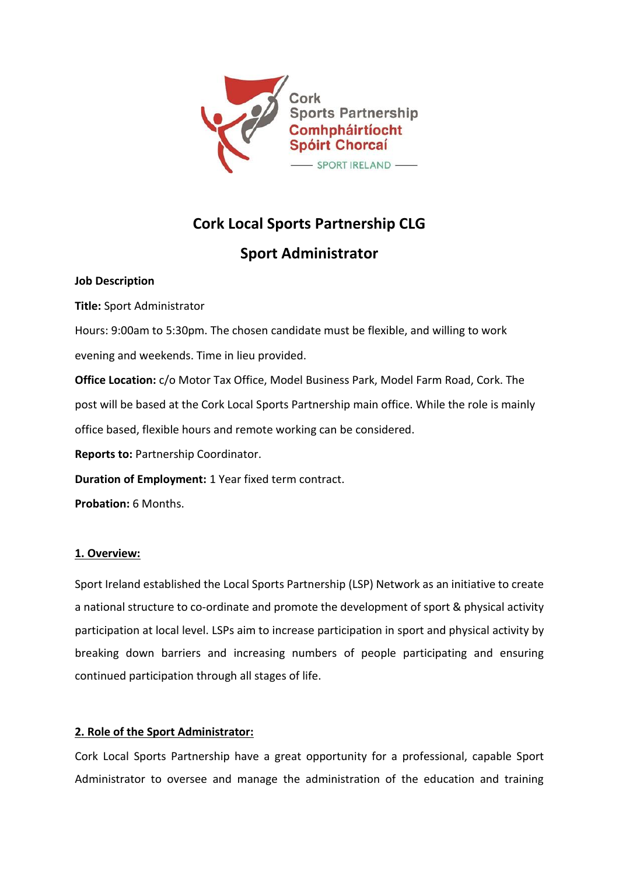

# **Cork Local Sports Partnership CLG**

## **Sport Administrator**

#### **Job Description**

**Title:** Sport Administrator

Hours: 9:00am to 5:30pm. The chosen candidate must be flexible, and willing to work evening and weekends. Time in lieu provided.

**Office Location:** c/o Motor Tax Office, Model Business Park, Model Farm Road, Cork. The post will be based at the Cork Local Sports Partnership main office. While the role is mainly office based, flexible hours and remote working can be considered.

**Reports to:** Partnership Coordinator.

**Duration of Employment:** 1 Year fixed term contract.

**Probation:** 6 Months.

## **1. Overview:**

Sport Ireland established the Local Sports Partnership (LSP) Network as an initiative to create a national structure to co-ordinate and promote the development of sport & physical activity participation at local level. LSPs aim to increase participation in sport and physical activity by breaking down barriers and increasing numbers of people participating and ensuring continued participation through all stages of life.

## **2. Role of the Sport Administrator:**

Cork Local Sports Partnership have a great opportunity for a professional, capable Sport Administrator to oversee and manage the administration of the education and training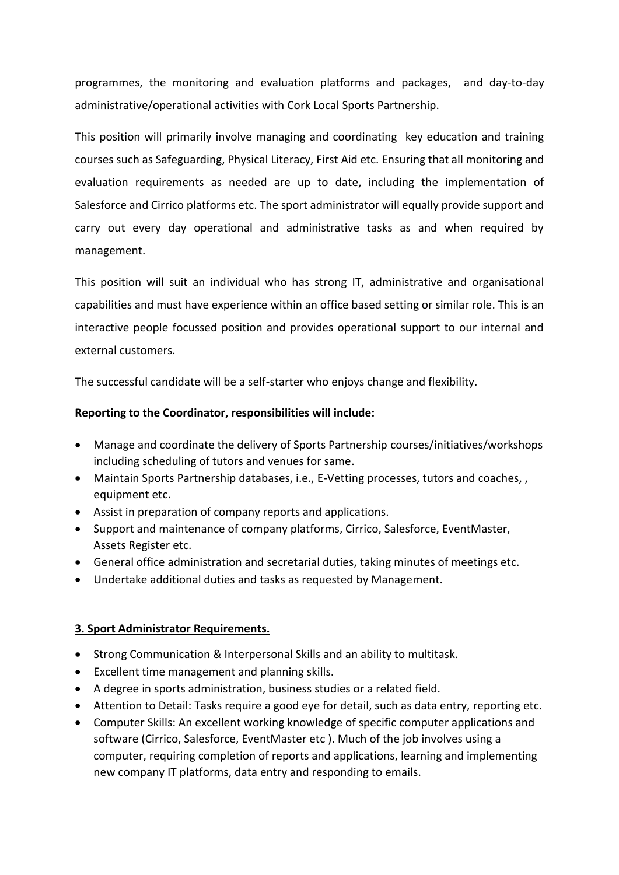programmes, the monitoring and evaluation platforms and packages, and day-to-day administrative/operational activities with Cork Local Sports Partnership.

This position will primarily involve managing and coordinating key education and training courses such as Safeguarding, Physical Literacy, First Aid etc. Ensuring that all monitoring and evaluation requirements as needed are up to date, including the implementation of Salesforce and Cirrico platforms etc. The sport administrator will equally provide support and carry out every day operational and administrative tasks as and when required by management.

This position will suit an individual who has strong IT, administrative and organisational capabilities and must have experience within an office based setting or similar role. This is an interactive people focussed position and provides operational support to our internal and external customers.

The successful candidate will be a self-starter who enjoys change and flexibility.

#### **Reporting to the Coordinator, responsibilities will include:**

- Manage and coordinate the delivery of Sports Partnership courses/initiatives/workshops including scheduling of tutors and venues for same.
- Maintain Sports Partnership databases, i.e., E-Vetting processes, tutors and coaches, , equipment etc.
- Assist in preparation of company reports and applications.
- Support and maintenance of company platforms, Cirrico, Salesforce, EventMaster, Assets Register etc.
- General office administration and secretarial duties, taking minutes of meetings etc.
- Undertake additional duties and tasks as requested by Management.

#### **3. Sport Administrator Requirements.**

- Stron[g Communication](https://www.irishjobs.ie/careeradvice/communication-skills/) & [Interpersonal Skills](https://www.irishjobs.ie/careeradvice/interpersonal-skills/) and an ability to multitask.
- Excellent time management and planning skills.
- A degree in sports administration, business studies or a related field.
- Attention to Detail: Tasks require a good eye for detail, such as data entry, reporting etc.
- Computer Skills: An excellent working knowledge of specific computer applications and software (Cirrico, Salesforce, EventMaster etc ). Much of the job involves using a computer, requiring completion of reports and applications, learning and implementing new company IT platforms, data entry and responding to emails.